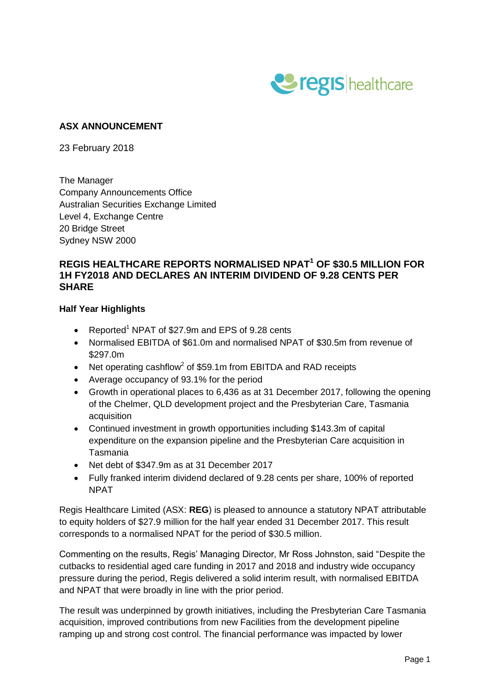

# **ASX ANNOUNCEMENT**

23 February 2018

The Manager Company Announcements Office Australian Securities Exchange Limited Level 4, Exchange Centre 20 Bridge Street Sydney NSW 2000

## **REGIS HEALTHCARE REPORTS NORMALISED NPAT<sup>1</sup> OF \$30.5 MILLION FOR 1H FY2018 AND DECLARES AN INTERIM DIVIDEND OF 9.28 CENTS PER SHARE**

### **Half Year Highlights**

- Reported<sup>1</sup> NPAT of \$27.9m and EPS of 9.28 cents
- Normalised EBITDA of \$61.0m and normalised NPAT of \$30.5m from revenue of \$297.0m
- Net operating cashflow<sup>2</sup> of \$59.1m from EBITDA and RAD receipts
- Average occupancy of 93.1% for the period
- Growth in operational places to 6,436 as at 31 December 2017, following the opening of the Chelmer, QLD development project and the Presbyterian Care, Tasmania acquisition
- Continued investment in growth opportunities including \$143.3m of capital expenditure on the expansion pipeline and the Presbyterian Care acquisition in Tasmania
- Net debt of \$347.9m as at 31 December 2017
- Fully franked interim dividend declared of 9.28 cents per share, 100% of reported NPAT

Regis Healthcare Limited (ASX: **REG**) is pleased to announce a statutory NPAT attributable to equity holders of \$27.9 million for the half year ended 31 December 2017. This result corresponds to a normalised NPAT for the period of \$30.5 million.

Commenting on the results, Regis' Managing Director, Mr Ross Johnston, said "Despite the cutbacks to residential aged care funding in 2017 and 2018 and industry wide occupancy pressure during the period, Regis delivered a solid interim result, with normalised EBITDA and NPAT that were broadly in line with the prior period.

The result was underpinned by growth initiatives, including the Presbyterian Care Tasmania acquisition, improved contributions from new Facilities from the development pipeline ramping up and strong cost control. The financial performance was impacted by lower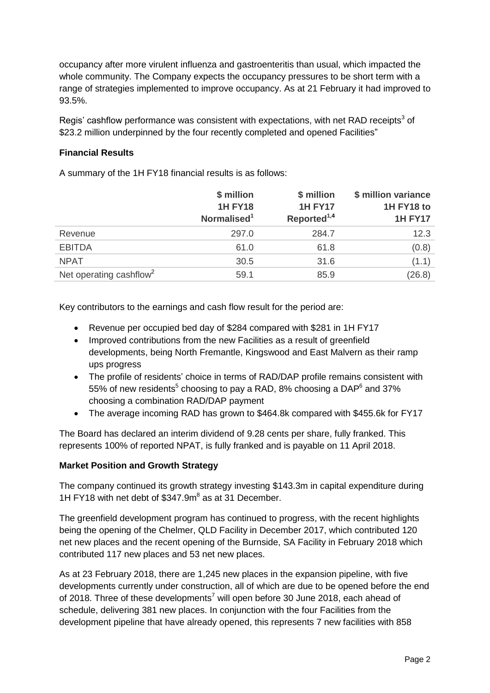occupancy after more virulent influenza and gastroenteritis than usual, which impacted the whole community. The Company expects the occupancy pressures to be short term with a range of strategies implemented to improve occupancy. As at 21 February it had improved to 93.5%.

Regis' cashflow performance was consistent with expectations, with net RAD receipts<sup>3</sup> of \$23.2 million underpinned by the four recently completed and opened Facilities"

### **Financial Results**

A summary of the 1H FY18 financial results is as follows:

|                                     | \$ million<br><b>1H FY18</b><br>Normalised <sup>1</sup> | \$ million<br><b>1H FY17</b><br>Reported <sup>1,4</sup> | \$ million variance<br>1H FY18 to<br><b>1H FY17</b> |
|-------------------------------------|---------------------------------------------------------|---------------------------------------------------------|-----------------------------------------------------|
| Revenue                             | 297.0                                                   | 284.7                                                   | 12.3                                                |
| <b>EBITDA</b>                       | 61.0                                                    | 61.8                                                    | (0.8)                                               |
| <b>NPAT</b>                         | 30.5                                                    | 31.6                                                    | (1.1)                                               |
| Net operating cashflow <sup>2</sup> | 59.1                                                    | 85.9                                                    | (26.8)                                              |

Key contributors to the earnings and cash flow result for the period are:

- Revenue per occupied bed day of \$284 compared with \$281 in 1H FY17
- Improved contributions from the new Facilities as a result of greenfield developments, being North Fremantle, Kingswood and East Malvern as their ramp ups progress
- The profile of residents' choice in terms of RAD/DAP profile remains consistent with 55% of new residents<sup>5</sup> choosing to pay a RAD, 8% choosing a DAP<sup>6</sup> and 37% choosing a combination RAD/DAP payment
- The average incoming RAD has grown to \$464.8k compared with \$455.6k for FY17

The Board has declared an interim dividend of 9.28 cents per share, fully franked. This represents 100% of reported NPAT, is fully franked and is payable on 11 April 2018.

#### **Market Position and Growth Strategy**

The company continued its growth strategy investing \$143.3m in capital expenditure during 1H FY18 with net debt of \$347.9m 8 as at 31 December.

The greenfield development program has continued to progress, with the recent highlights being the opening of the Chelmer, QLD Facility in December 2017, which contributed 120 net new places and the recent opening of the Burnside, SA Facility in February 2018 which contributed 117 new places and 53 net new places.

As at 23 February 2018, there are 1,245 new places in the expansion pipeline, with five developments currently under construction, all of which are due to be opened before the end of 2018. Three of these developments<sup>7</sup> will open before 30 June 2018, each ahead of schedule, delivering 381 new places. In conjunction with the four Facilities from the development pipeline that have already opened, this represents 7 new facilities with 858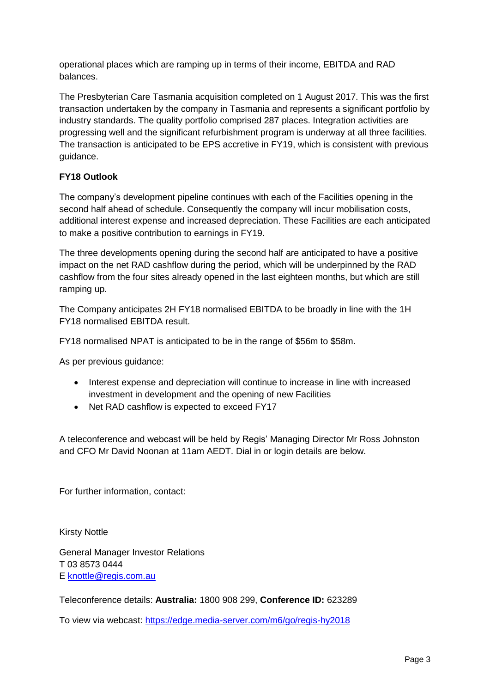operational places which are ramping up in terms of their income, EBITDA and RAD balances.

The Presbyterian Care Tasmania acquisition completed on 1 August 2017. This was the first transaction undertaken by the company in Tasmania and represents a significant portfolio by industry standards. The quality portfolio comprised 287 places. Integration activities are progressing well and the significant refurbishment program is underway at all three facilities. The transaction is anticipated to be EPS accretive in FY19, which is consistent with previous guidance.

# **FY18 Outlook**

The company's development pipeline continues with each of the Facilities opening in the second half ahead of schedule. Consequently the company will incur mobilisation costs, additional interest expense and increased depreciation. These Facilities are each anticipated to make a positive contribution to earnings in FY19.

The three developments opening during the second half are anticipated to have a positive impact on the net RAD cashflow during the period, which will be underpinned by the RAD cashflow from the four sites already opened in the last eighteen months, but which are still ramping up.

The Company anticipates 2H FY18 normalised EBITDA to be broadly in line with the 1H FY18 normalised EBITDA result.

FY18 normalised NPAT is anticipated to be in the range of \$56m to \$58m.

As per previous guidance:

- Interest expense and depreciation will continue to increase in line with increased investment in development and the opening of new Facilities
- Net RAD cashflow is expected to exceed FY17

A teleconference and webcast will be held by Regis' Managing Director Mr Ross Johnston and CFO Mr David Noonan at 11am AEDT. Dial in or login details are below.

For further information, contact:

Kirsty Nottle

General Manager Investor Relations T 03 8573 0444 E [knottle@regis.com.au](mailto:knottle@regis.com.au)

Teleconference details: **Australia:** 1800 908 299, **Conference ID:** 623289

To view via webcast: https://edge.media-server.com/m6/go/regis-hy2018